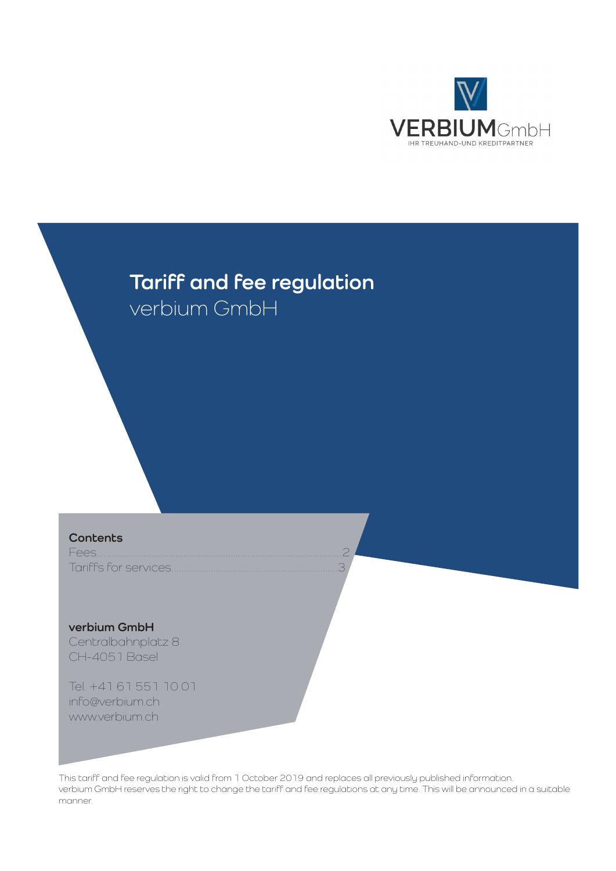

# **Tariff and fee regulation** verbium GmbH

**Contents**

Fees...................................................................................................2 Tariffs for services...................................................................3

**verbium GmbH** Centralbahnplatz 8 CH-4051 Basel

Tel. +41 61 551 10 01 info@verbium.ch www.verbium.ch

This tariff and fee regulation is valid from 1 October 2019 and replaces all previously published information. verbium GmbH reserves the right to change the tariff and fee regulations at any time. This will be announced in a suitable manner.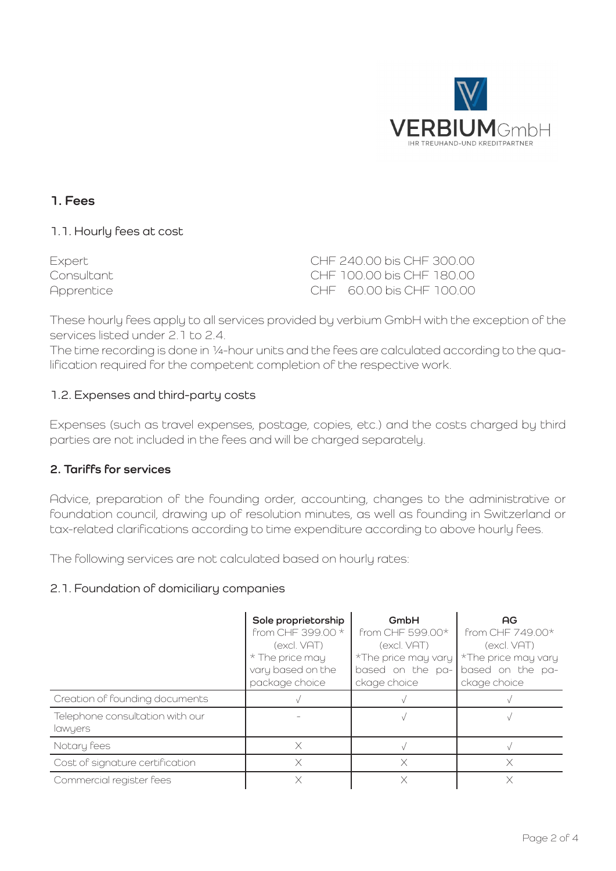

## **1. Fees**

#### 1.1. Hourly fees at cost

Expert CHF 240.00 bis CHF 300.00 Consultant CHF 100.00 bis CHF 180.00 Apprentice CHF 60.00 bis CHF 100.00

These hourly fees apply to all services provided by verbium GmbH with the exception of the services listed under 2.1 to 2.4.

The time recording is done in ¼-hour units and the fees are calculated according to the qualification required for the competent completion of the respective work.

#### 1.2. Expenses and third-party costs

Expenses (such as travel expenses, postage, copies, etc.) and the costs charged by third parties are not included in the fees and will be charged separately.

### **2. Tariffs for services**

Advice, preparation of the founding order, accounting, changes to the administrative or foundation council, drawing up of resolution minutes, as well as founding in Switzerland or tax-related clarifications according to time expenditure according to above hourly fees.

The following services are not calculated based on hourly rates:

#### 2.1. Foundation of domiciliary companies

|                                            | Sole proprietorship<br>from CHF 399.00 *<br>(excl. VAT)<br>* The price may<br>vary based on the<br>package choice | GmbH<br>from CHF 599.00*<br>(excl. VAT)<br>*The price may vary<br>based on the pa-<br>ckage choice | AG<br>from CHF 749.00*<br>(excl. VAT)<br>*The price may vary<br>based on the pa-<br>ckage choice |
|--------------------------------------------|-------------------------------------------------------------------------------------------------------------------|----------------------------------------------------------------------------------------------------|--------------------------------------------------------------------------------------------------|
| Creation of founding documents             |                                                                                                                   |                                                                                                    |                                                                                                  |
| Telephone consultation with our<br>lawyers |                                                                                                                   |                                                                                                    |                                                                                                  |
| Notary fees                                | X                                                                                                                 |                                                                                                    |                                                                                                  |
| Cost of signature certification            | X                                                                                                                 | ×                                                                                                  |                                                                                                  |
| Commercial register fees                   | X                                                                                                                 |                                                                                                    |                                                                                                  |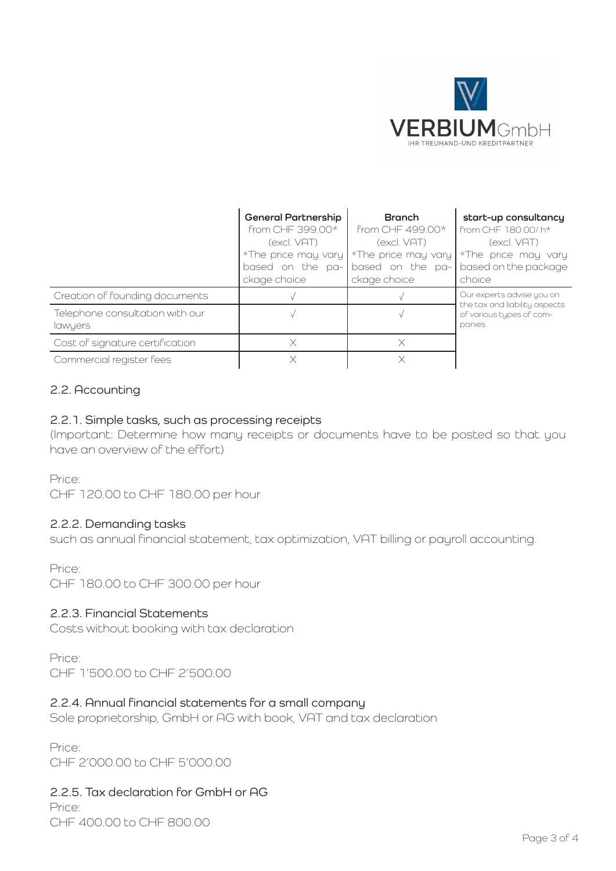

|                                            | <b>General Partnership</b><br>from CHF 399.00*<br>(excl. VAT)<br>*The price may vary $\frac{1}{2}$ *The price may vary<br>based on the pa-<br>ckage choice | <b>Branch</b><br>from CHF 499.00*<br>(excl. VAT)<br>based on the pa-<br>ckage choice | start-up consultancy<br>from CHF 180.00/ h*<br>(excl. VAT)<br>*The price may vary<br>based on the package<br>choice |
|--------------------------------------------|------------------------------------------------------------------------------------------------------------------------------------------------------------|--------------------------------------------------------------------------------------|---------------------------------------------------------------------------------------------------------------------|
| Creation of founding documents             |                                                                                                                                                            |                                                                                      | Our experts advise you on<br>the tax and liability aspects<br>of various tupes of com-<br>panies                    |
| Telephone consultation with our<br>lawyers |                                                                                                                                                            |                                                                                      |                                                                                                                     |
| Cost of signature certification            |                                                                                                                                                            | X                                                                                    |                                                                                                                     |
| Commercial register fees                   |                                                                                                                                                            |                                                                                      |                                                                                                                     |

### 2.2. Accounting

#### 2.2.1. Simple tasks, such as processing receipts

(Important: Determine how many receipts or documents have to be posted so that you have an overview of the effort)

Price:

CHF 120.00 to CHF 180.00 per hour

#### 2.2.2. Demanding tasks

such as annual financial statement, tax optimization, VAT billing or payroll accounting.

Price:

CHF 180.00 to CHF 300.00 per hour

#### 2.2.3. Financial Statements

Costs without booking with tax declaration

Price: CHF 1'500.00 to CHF 2'500.00

#### 2.2.4. Annual financial statements for a small company

Sole proprietorship, GmbH or AG with book, VAT and tax declaration

Price: CHF 2'000.00 to CHF 5'000.00

2.2.5. Tax declaration for GmbH or AG Price:

CHF 400.00 to CHF 800.00